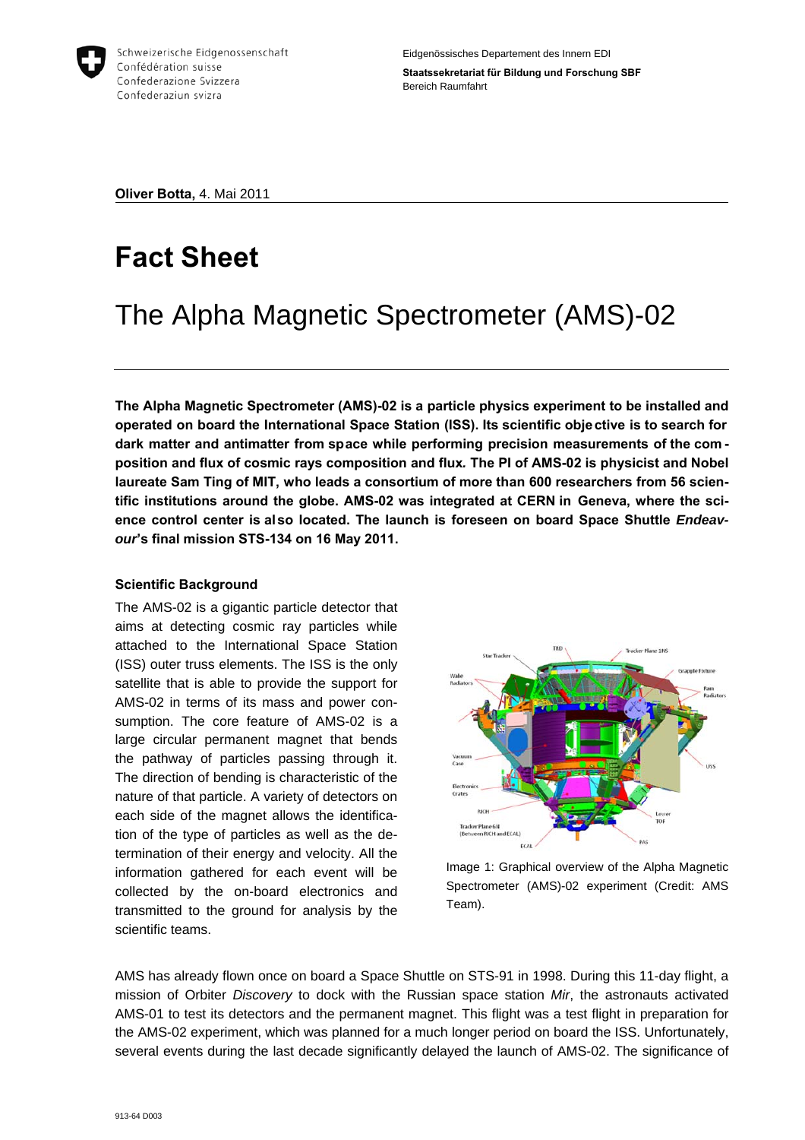

**Oliver Botta,** 4. Mai 2011

# **Fact Sheet**

## The Alpha Magnetic Spectrometer (AMS)-02

**The Alpha Magnetic Spectrometer (AMS)-02 is a particle physics experiment to be installed and operated on board the International Space Station (ISS). Its scientific objective is to search for dark matter and antimatter from space while performing precision measurements of the com position and flux of cosmic rays composition and flux***.* **The PI of AMS-02 is physicist and Nobel laureate Sam Ting of MIT, who leads a consortium of more than 600 researchers from 56 scientific institutions around the globe. AMS-02 was integrated at CERN in Geneva, where the sci**ence control center is also located. The launch is foreseen on board Space Shuttle *Endeavour***'s final mission STS-134 on 16 May 2011.**

## **Scientific Background**

The AMS-02 is a gigantic particle detector that aims at detecting cosmic ray particles while attached to the International Space Station (ISS) outer truss elements. The ISS is the only satellite that is able to provide the support for AMS-02 in terms of its mass and power consumption. The core feature of AMS-02 is a large circular permanent magnet that bends the pathway of particles passing through it. The direction of bending is characteristic of the nature of that particle. A variety of detectors on each side of the magnet allows the identification of the type of particles as well as the determination of their energy and velocity. All the information gathered for each event will be collected by the on-board electronics and transmitted to the ground for analysis by the scientific teams.



Image 1: Graphical overview of the Alpha Magnetic Spectrometer (AMS)-02 experiment (Credit: AMS Team).

AMS has already flown once on board a Space Shuttle on STS-91 in 1998. During this 11-day flight, a mission of Orbiter *Discovery* to dock with the Russian space station *Mir*, the astronauts activated AMS-01 to test its detectors and the permanent magnet. This flight was a test flight in preparation for the AMS-02 experiment, which was planned for a much longer period on board the ISS. Unfortunately, several events during the last decade significantly delayed the launch of AMS-02. The significance of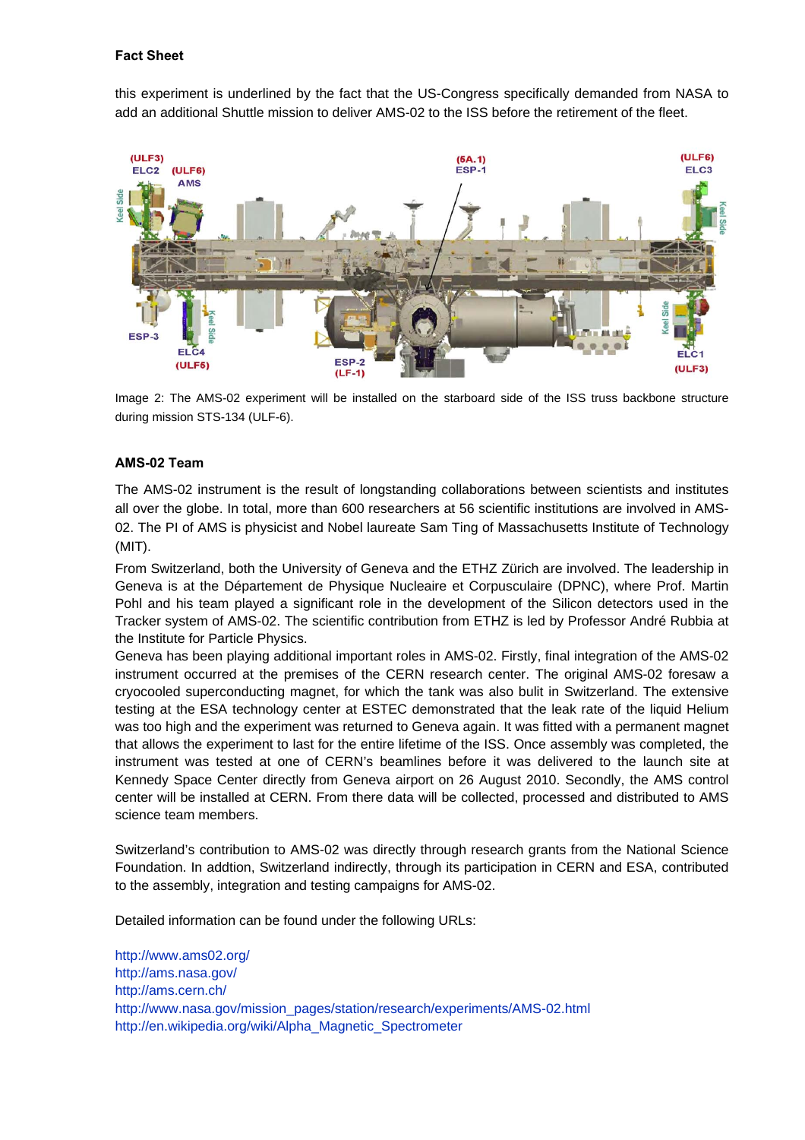#### **Fact Sheet**

this experiment is underlined by the fact that the US-Congress specifically demanded from NASA to add an additional Shuttle mission to deliver AMS-02 to the ISS before the retirement of the fleet.



Image 2: The AMS-02 experiment will be installed on the starboard side of the ISS truss backbone structure during mission STS-134 (ULF-6).

#### **AMS-02 Team**

The AMS-02 instrument is the result of longstanding collaborations between scientists and institutes all over the globe. In total, more than 600 researchers at 56 scientific institutions are involved in AMS-02. The PI of AMS is physicist and Nobel laureate Sam Ting of Massachusetts Institute of Technology (MIT).

From Switzerland, both the University of Geneva and the ETHZ Zürich are involved. The leadership in Geneva is at the Département de Physique Nucleaire et Corpusculaire (DPNC), where Prof. Martin Pohl and his team played a significant role in the development of the Silicon detectors used in the Tracker system of AMS-02. The scientific contribution from ETHZ is led by Professor André Rubbia at the Institute for Particle Physics.

Geneva has been playing additional important roles in AMS-02. Firstly, final integration of the AMS-02 instrument occurred at the premises of the CERN research center. The original AMS-02 foresaw a cryocooled superconducting magnet, for which the tank was also bulit in Switzerland. The extensive testing at the ESA technology center at ESTEC demonstrated that the leak rate of the liquid Helium was too high and the experiment was returned to Geneva again. It was fitted with a permanent magnet that allows the experiment to last for the entire lifetime of the ISS. Once assembly was completed, the instrument was tested at one of CERN's beamlines before it was delivered to the launch site at Kennedy Space Center directly from Geneva airport on 26 August 2010. Secondly, the AMS control center will be installed at CERN. From there data will be collected, processed and distributed to AMS science team members.

Switzerland's contribution to AMS-02 was directly through research grants from the National Science Foundation. In addtion, Switzerland indirectly, through its participation in CERN and ESA, contributed to the assembly, integration and testing campaigns for AMS-02.

Detailed information can be found under the following URLs:

<http://www.ams02.org/> <http://ams.nasa.gov/> <http://ams.cern.ch/> [http://www.nasa.gov/mission\\_pages/station/research/experiments/AMS-02.html](http://www.nasa.gov/mission_pages/station/research/experiments/AMS-02.html) [http://en.wikipedia.org/wiki/Alpha\\_Magnetic\\_Spectrometer](http://en.wikipedia.org/wiki/Alpha_Magnetic_Spectrometer)